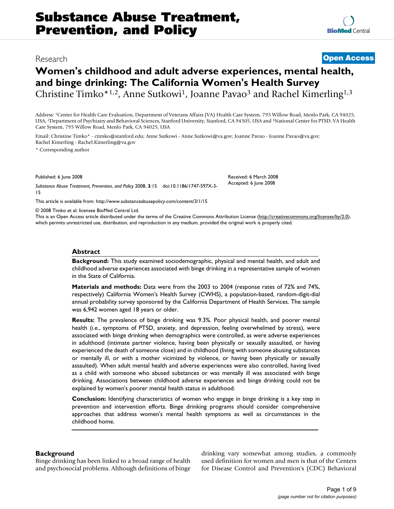**[BioMed](http://www.biomedcentral.com/)** Central

# **Women's childhood and adult adverse experiences, mental health, and binge drinking: The California Women's Health Survey** Christine Timko\*1,2, Anne Sutkowi<sup>1</sup>, Joanne Pavao<sup>3</sup> and Rachel Kimerling<sup>1,3</sup>

Address: 1Center for Health Care Evaluation, Department of Veterans Affairs (VA) Health Care System, 795 Willow Road, Menlo Park, CA 94025,

USA, 2Department of Psychiatry and Behavioral Sciences, Stanford University, Stanford, CA 94305, USA and 3National Center for PTSD, VA Health Care System, 795 Willow Road, Menlo Park, CA 94025, USA

Email: Christine Timko\* - ctimko@stanford.edu; Anne Sutkowi - Anne.Sutkowi@va.gov; Joanne Pavao - Joanne.Pavao@va.gov; Rachel Kimerling - Rachel.Kimerling@va.gov

\* Corresponding author

Published: 6 June 2008

*Substance Abuse Treatment, Prevention, and Policy* 2008, **3**:15 doi:10.1186/1747-597X-3- 15

[This article is available from: http://www.substanceabusepolicy.com/content/3/1/15](http://www.substanceabusepolicy.com/content/3/1/15)

© 2008 Timko et al; licensee BioMed Central Ltd.

This is an Open Access article distributed under the terms of the Creative Commons Attribution License [\(http://creativecommons.org/licenses/by/2.0\)](http://creativecommons.org/licenses/by/2.0), which permits unrestricted use, distribution, and reproduction in any medium, provided the original work is properly cited.

Received: 6 March 2008 Accepted: 6 June 2008

## **Abstract**

**Background:** This study examined sociodemographic, physical and mental health, and adult and childhood adverse experiences associated with binge drinking in a representative sample of women in the State of California.

**Materials and methods:** Data were from the 2003 to 2004 (response rates of 72% and 74%, respectively) California Women's Health Survey (CWHS), a population-based, random-digit-dial annual probability survey sponsored by the California Department of Health Services. The sample was 6,942 women aged 18 years or older.

**Results:** The prevalence of binge drinking was 9.3%. Poor physical health, and poorer mental health (i.e., symptoms of PTSD, anxiety, and depression, feeling overwhelmed by stress), were associated with binge drinking when demographics were controlled, as were adverse experiences in adulthood (intimate partner violence, having been physically or sexually assaulted, or having experienced the death of someone close) and in childhood (living with someone abusing substances or mentally ill, or with a mother vicimized by violence, or having been physically or sexually assaulted). When adult mental health and adverse experiences were also controlled, having lived as a child with someone who abused substances or was mentally ill was associated with binge drinking. Associations between childhood adverse experiences and binge drinking could not be explained by women's poorer mental health status in adulthood.

**Conclusion:** Identifying characteristics of women who engage in binge drinking is a key step in prevention and intervention efforts. Binge drinking programs should consider comprehensive approaches that address women's mental health symptoms as well as circumstances in the childhood home.

### **Background**

Binge drinking has been linked to a broad range of health and psychosocial problems. Although definitions of binge drinking vary somewhat among studies, a commonly used definition for women and men is that of the Centers for Disease Control and Prevention's (CDC) Behavioral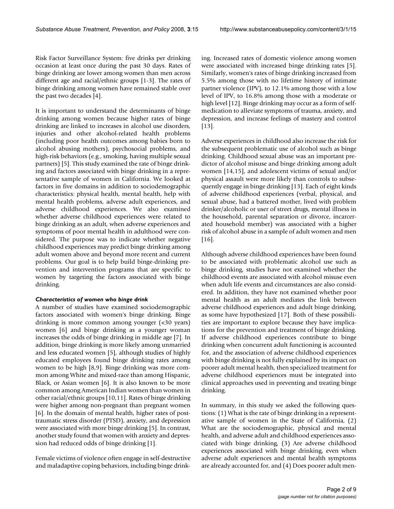Risk Factor Surveillance System: five drinks per drinking occasion at least once during the past 30 days. Rates of binge drinking are lower among women than men across different age and racial/ethnic groups [1-3]. The rates of binge drinking among women have remained stable over the past two decades [4].

It is important to understand the determinants of binge drinking among women because higher rates of binge drinking are linked to increases in alcohol use disorders, injuries and other alcohol-related health problems (including poor health outcomes among babies born to alcohol abusing mothers), psychosocial problems, and high-risk behaviors (e.g., smoking, having multiple sexual partners) [5]. This study examined the rate of binge drinking and factors associated with binge drinking in a representative sample of women in California. We looked at factors in five domains in addition to sociodemographic characteristics: physical health, mental health, help with mental health problems, adverse adult experiences, and adverse childhood experiences. We also examined whether adverse childhood experiences were related to binge drinking as an adult, when adverse experiences and symptoms of poor mental health in adulthood were considered. The purpose was to indicate whether negative childhood experiences may predict binge drinking among adult women above and beyond more recent and current problems. Our goal is to help build binge-drinking prevention and intervention programs that are specific to women by targeting the factors associated with binge drinking.

# *Characteristics of women who binge drink*

A number of studies have examined sociodemographic factors associated with women's binge drinking. Binge drinking is more common among younger (<30 years) women [6] and binge drinking as a younger woman increases the odds of binge drinking in middle age [7]. In addition, binge drinking is more likely among unmarried and less educated women [5], although studies of highly educated employees found binge drinking rates among women to be high [8,9]. Binge drinking was more common among White and mixed-race than among Hispanic, Black, or Asian women [6]. It is also known to be more common among American Indian women than women in other racial/ethnic groups [10,11]. Rates of binge drinking were higher among non-pregnant than pregnant women [6]. In the domain of mental health, higher rates of posttraumatic stress disorder (PTSD), anxiety, and depression were associated with more binge drinking [5]. In contrast, another study found that women with anxiety and depression had reduced odds of binge drinking [1].

Female victims of violence often engage in self-destructive and maladaptive coping behaviors, including binge drinking. Increased rates of domestic violence among women were associated with increased binge drinking rates [5]. Similarly, women's rates of binge drinking increased from 5.5% among those with no lifetime history of intimate partner violence (IPV), to 12.1% among those with a low level of IPV, to 16.8% among those with a moderate or high level [12]. Binge drinking may occur as a form of selfmedication to alleviate symptoms of trauma, anxiety, and depression, and increase feelings of mastery and control [13].

Adverse experiences in childhood also increase the risk for the subsequent problematic use of alcohol such as binge drinking. Childhood sexual abuse was an important predictor of alcohol misuse and binge drinking among adult women [14,15], and adolescent victims of sexual and/or physical assault were more likely than controls to subsequently engage in binge drinking [13]. Each of eight kinds of adverse childhood experiences (verbal, physical, and sexual abuse, had a battered mother, lived with problem drinker/alcoholic or user of street drugs, mental illness in the household, parental separation or divorce, incarcerated household member) was associated with a higher risk of alcohol abuse in a sample of adult women and men [16].

Although adverse childhood experiences have been found to be associated with problematic alcohol use such as binge drinking, studies have not examined whether the childhood events are associated with alcohol misuse even when adult life events and circumstances are also considered. In addition, they have not examined whether poor mental health as an adult mediates the link between adverse childhood experiences and adult binge drinking, as some have hypothesized [17]. Both of these possibilities are important to explore because they have implications for the prevention and treatment of binge drinking. If adverse childhood experiences contribute to binge drinking when concurrent adult functioning is accounted for, and the association of adverse childhood experiences with binge drinking is not fully explained by its impact on poorer adult mental health, then specialized treatment for adverse childhood experiences must be integrated into clinical approaches used in preventing and treating binge drinking.

In summary, in this study we asked the following questions: (1) What is the rate of binge drinking in a representative sample of women in the State of California, (2) What are the sociodemographic, physical and mental health, and adverse adult and childhood experiences associated with binge drinking, (3) Are adverse childhood experiences associated with binge drinking, even when adverse adult experiences and mental health symptoms are already accounted for, and (4) Does poorer adult men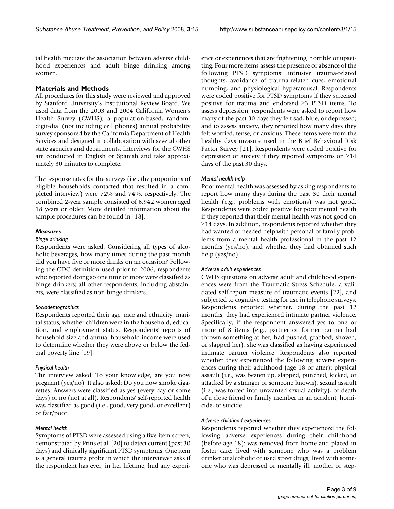tal health mediate the association between adverse childhood experiences and adult binge drinking among women.

# **Materials and Methods**

All procedures for this study were reviewed and approved by Stanford University's Institutional Review Board. We used data from the 2003 and 2004 California Women's Health Survey (CWHS), a population-based, randomdigit-dial (not including cell phones) annual probability survey sponsored by the California Department of Health Services and designed in collaboration with several other state agencies and departments. Interviews for the CWHS are conducted in English or Spanish and take approximately 30 minutes to complete.

The response rates for the surveys (i.e., the proportions of eligible households contacted that resulted in a completed interview) were 72% and 74%, respectively. The combined 2-year sample consisted of 6,942 women aged 18 years or older. More detailed information about the sample procedures can be found in [18].

#### *Measures*

#### *Binge drinking*

Respondents were asked: Considering all types of alcoholic beverages, how many times during the past month did you have five or more drinks on an occasion? Following the CDC definition used prior to 2006, respondents who reported doing so one time or more were classified as binge drinkers; all other respondents, including abstainers, were classified as non-binge drinkers.

# *Sociodemographics*

Respondents reported their age, race and ethnicity, marital status, whether children were in the household, education, and employment status. Respondents' reports of household size and annual household income were used to determine whether they were above or below the federal poverty line [19].

#### *Physical health*

The interview asked: To your knowledge, are you now pregnant (yes/no). It also asked: Do you now smoke cigarettes. Answers were classified as yes (every day or some days) or no (not at all). Respondents' self-reported health was classified as good (i.e., good, very good, or excellent) or fair/poor.

### *Mental health*

Symptoms of PTSD were assessed using a five-item screen, demonstrated by Prins et al. [20] to detect current (past 30 days) and clinically significant PTSD symptoms. One item is a general trauma probe in which the interviewer asks if the respondent has ever, in her lifetime, had any experience or experiences that are frightening, horrible or upsetting. Four more items assess the presence or absence of the following PTSD symptoms: intrusive trauma-related thoughts, avoidance of trauma-related cues, emotional numbing, and physiological hyperarousal. Respondents were coded positive for PTSD symptoms if they screened positive for trauma and endorsed ≥3 PTSD items. To assess depression, respondents were asked to report how many of the past 30 days they felt sad, blue, or depressed; and to assess anxiety, they reported how many days they felt worried, tense, or anxious. These items were from the healthy days measure used in the Brief Behavioral Risk Factor Survey [21]. Respondents were coded positive for depression or anxiety if they reported symptoms on ≥14 days of the past 30 days.

#### *Mental health help*

Poor mental health was assessed by asking respondents to report how many days during the past 30 their mental health (e.g., problems with emotions) was not good. Respondents were coded positive for poor mental health if they reported that their mental health was not good on ≥14 days. In addition, respondents reported whether they had wanted or needed help with personal or family problems from a mental health professional in the past 12 months (yes/no), and whether they had obtained such help (yes/no).

#### *Adverse adult experiences*

CWHS questions on adverse adult and childhood experiences were from the Traumatic Stress Schedule, a validated self-report measure of traumatic events [22], and subjected to cognitive testing for use in telephone surveys. Respondents reported whether, during the past 12 months, they had experienced intimate partner violence. Specifically, if the respondent answered yes to one or more of 8 items (e.g., partner or former partner had thrown something at her; had pushed, grabbed, shoved, or slapped her), she was classified as having experienced intimate partner violence. Respondents also reported whether they experienced the following adverse experiences during their adulthood (age 18 or after): physical assault (i.e., was beaten up, slapped, punched, kicked, or attacked by a stranger or someone known), sexual assault (i.e., was forced into unwanted sexual activity), or death of a close friend or family member in an accident, homicide, or suicide.

#### *Adverse childhood experiences*

Respondents reported whether they experienced the following adverse experiences during their childhood (before age 18): was removed from home and placed in foster care; lived with someone who was a problem drinker or alcoholic or used street drugs; lived with someone who was depressed or mentally ill; mother or step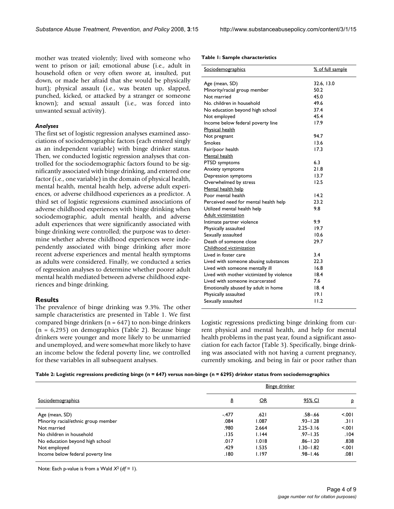mother was treated violently; lived with someone who went to prison or jail; emotional abuse (i.e., adult in household often or very often swore at, insulted, put down, or made her afraid that she would be physically hurt); physical assault (i.e., was beaten up, slapped, punched, kicked, or attacked by a stranger or someone known); and sexual assault (i.e., was forced into unwanted sexual activity).

# *Analyses*

The first set of logistic regression analyses examined associations of sociodemographic factors (each entered singly as an independent variable) with binge drinker status. Then, we conducted logistic regression analyses that controlled for the sociodemographic factors found to be significantly associated with binge drinking, and entered one factor (i.e., one variable) in the domain of physical health, mental health, mental health help, adverse adult experiences, or adverse childhood experiences as a predictor. A third set of logistic regressions examined associations of adverse childhood experiences with binge drinking when sociodemographic, adult mental health, and adverse adult experiences that were significantly associated with binge drinking were controlled; the purpose was to determine whether adverse childhood experiences were independently associated with binge drinking after more recent adverse experiences and mental health symptoms as adults were considered. Finally, we conducted a series of regression analyses to determine whether poorer adult mental health mediated between adverse childhood experiences and binge drinking.

# **Results**

The prevalence of binge drinking was 9.3%. The other sample characteristics are presented in Table 1. We first compared binge drinkers ( $n = 647$ ) to non-binge drinkers  $(n = 6,295)$  on demographics (Table 2). Because binge drinkers were younger and more likely to be unmarried and unemployed, and were somewhat more likely to have an income below the federal poverty line, we controlled for these variables in all subsequent analyses.

#### **Table 1: Sample characteristics**

| Sociodemographics                        | % of full sample |
|------------------------------------------|------------------|
| Age (mean, SD)                           | 32.6, 13.0       |
| Minority/racial group member             | 50.2             |
| Not married                              | 45.0             |
| No. children in household                | 49.6             |
| No education beyond high school          | 37.4             |
| Not employed                             | 45.4             |
| Income below federal poverty line        | 17.9             |
| <b>Physical health</b>                   |                  |
| Not pregnant                             | 94.7             |
| Smokes                                   | 13.6             |
| Fair/poor health                         | 17.3             |
| Mental health                            |                  |
| PTSD symptoms                            | 6.3              |
| Anxiety symptoms                         | 21.8             |
| Depression symptoms                      | 13.7             |
| Overwhelmed by stress                    | 12.5             |
| Mental health help                       |                  |
| Poor mental health                       | 14.2             |
| Perceived need for mental health help    | 23.2             |
| Utilized mental health help              | 9.8              |
| Adult victimization                      |                  |
| Intimate partner violence                | 9.9              |
| Physically assaulted                     | 19.7             |
| Sexually assaulted                       | 10.6             |
| Death of someone close                   | 29.7             |
| Childhood victimization                  |                  |
| Lived in foster care                     | 3.4              |
| Lived with someone abusing substances    | 22.3             |
| Lived with someone mentally ill          | 16.8             |
| Lived with mother victimized by violence | 18.4             |
| Lived with someone incarcerated          | 7.6              |
| Emotionally abused by adult in home      | 18.4             |
| Physically assaulted                     | 19.1             |
| Sexually assaulted                       | 11.2             |
|                                          |                  |

Logistic regressions predicting binge drinking from current physical and mental health, and help for mental health problems in the past year, found a significant association for each factor (Table 3). Specifically, binge drinking was associated with not having a current pregnancy, currently smoking, and being in fair or poor rather than

| Table 2: Logistic regressions predicting binge (n = 647) versus non-binge (n = 6295) drinker status from sociodemographics |  |  |  |  |  |
|----------------------------------------------------------------------------------------------------------------------------|--|--|--|--|--|
|----------------------------------------------------------------------------------------------------------------------------|--|--|--|--|--|

|                                     |        | Binge drinker |               |        |  |  |
|-------------------------------------|--------|---------------|---------------|--------|--|--|
| Sociodemographics                   | B      | OR            | <u>95% CI</u> | Þ      |  |  |
| Age (mean, SD)                      | $-477$ | .621          | .58-.66       | < 001  |  |  |
| Minority racial/ethnic group member | .084   | 1.087         | $.93 - 1.28$  | .311   |  |  |
| Not married                         | .980   | 2.664         | $2.25 - 3.16$ | 5.001  |  |  |
| No children in household            | .135   | 1.144         | $.97 - 1.35$  | .104   |  |  |
| No education beyond high school     | .017   | 1.018         | $.86 - 1.20$  | .838   |  |  |
| Not employed                        | .429   | 1.535         | 1.30–1.82     | < 0.01 |  |  |
| Income below federal poverty line   | .180   | 1.197         | $.98 - 1.46$  | .081   |  |  |

Note: Each p-value is from a Wald *X*2 (*df* = 1).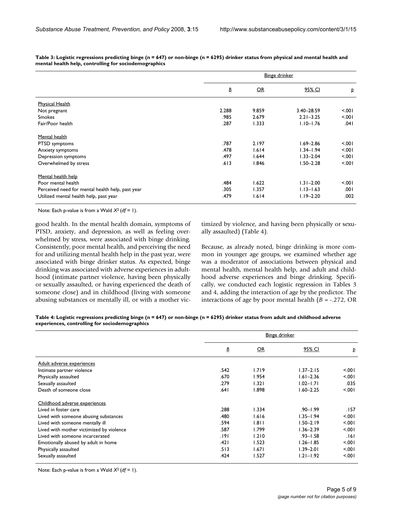|                                                  | <b>Binge drinker</b>     |       |               |         |
|--------------------------------------------------|--------------------------|-------|---------------|---------|
|                                                  | $\underline{\mathit{B}}$ | OR    | 95% CI        | ₽       |
| <b>Physical Health</b>                           |                          |       |               |         |
| Not pregnant                                     | 2.288                    | 9.859 | 3.40-28.59    | $500 -$ |
| <b>Smokes</b>                                    | .985                     | 2.679 | $2.21 - 3.25$ | $500 -$ |
| Fair/Poor health                                 | .287                     | 1.333 | $1.10 - 1.76$ | .041    |
| Mental health                                    |                          |       |               |         |
| PTSD symptoms                                    | .787                     | 2.197 | $1.69 - 2.86$ | $500 -$ |
| Anxiety symptoms                                 | .478                     | 1.614 | $1.34 - 1.94$ | $500 -$ |
| Depression symptoms                              | .497                     | 1.644 | $1.33 - 2.04$ | $500 -$ |
| Overwhelmed by stress                            | .613                     | 1.846 | $1.50 - 2.28$ | $500 -$ |
| Mental health help                               |                          |       |               |         |
| Poor mental health                               | .484                     | 1.622 | $1.31 - 2.00$ | $500 -$ |
| Perceived need for mental health help, past year | .305                     | 1.357 | $1.13 - 1.63$ | .001    |
| Utilized mental health help, past year           | .479                     | 1.614 | $1.19 - 2.20$ | .002    |

**Table 3: Logistic regressions predicting binge (n = 647) or non-binge (n = 6295) drinker status from physical and mental health and mental health help, controlling for sociodemographics**

Note: Each p-value is from a Wald *X*2 (*df* = 1).

good health. In the mental health domain, symptoms of PTSD, anxiety, and depression, as well as feeling overwhelmed by stress, were associated with binge drinking. Consistently, poor mental health, and perceiving the need for and utilizing mental health help in the past year, were associated with binge drinker status. As expected, binge drinking was associated with adverse experiences in adulthood (intimate partner violence, having been physically or sexually assaulted, or having experienced the death of someone close) and in childhood (living with someone abusing substances or mentally ill, or with a mother victimized by violence, and having been physically or sexually assaulted) (Table 4).

Because, as already noted, binge drinking is more common in younger age groups, we examined whether age was a moderator of associations between physical and mental health, mental health help, and adult and childhood adverse experiences and binge drinking. Specifically, we conducted each logistic regression in Tables 3 and 4, adding the interaction of age by the predictor. The interactions of age by poor mental health (*B* = -.272, OR

| Table 4: Logistic regressions predicting binge (n = 647) or non-binge (n = 6295) drinker status from adult and childhood adverse |  |  |
|----------------------------------------------------------------------------------------------------------------------------------|--|--|
| experiences, controlling for sociodemographics                                                                                   |  |  |

|                                          | Binge drinker |       |               |        |
|------------------------------------------|---------------|-------|---------------|--------|
|                                          | B             | OR    | <u>95% CI</u> | Þ      |
| Adult adverse experiences                |               |       |               |        |
| Intimate partner violence                | .542          | 1.719 | $1.37 - 2.15$ | 5001   |
| Physically assaulted                     | .670          | 1.954 | $1.61 - 2.36$ | 5.001  |
| Sexually assaulted                       | .279          | 1.321 | $1.02 - 1.71$ | .035   |
| Death of someone close                   | .641          | 1.898 | $1.60 - 2.25$ | 5.001  |
| Childhood adverse experiences            |               |       |               |        |
| Lived in foster care                     | .288          | 1.334 | $.90 - 1.99$  | .157   |
| Lived with someone abusing substances    | .480          | 1.616 | $1.35 - 1.94$ | < 0.01 |
| Lived with someone mentally ill          | .594          | 1.811 | $1.50 - 2.19$ | < 001  |
| Lived with mother victimized by violence | .587          | 1.799 | $1.36 - 2.39$ | 5.001  |
| Lived with someone incarcerated          | .191          | 1.210 | $.93 - 1.58$  | .161   |
| Emotionally abused by adult in home      | .421          | 1.523 | $1.26 - 1.85$ | < 0.01 |
| Physically assaulted                     | .513          | 1.671 | $1.39 - 2.01$ | 5.001  |
| Sexually assaulted                       | .424          | 1.527 | $1.21 - 1.92$ | 5.001  |

Note: Each p-value is from a Wald *X*2 (*df* = 1).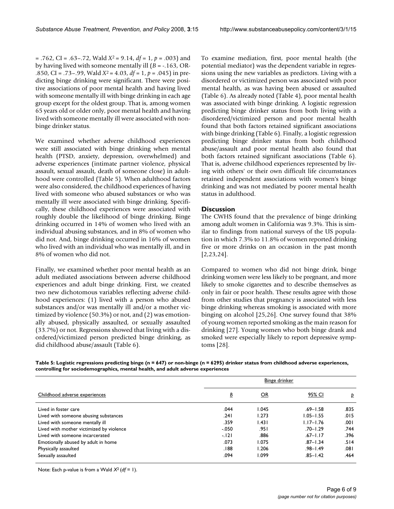= .762, CI = .63–.72, Wald *X*2 = 9.14, *df* = 1, *p* = .003) and by having lived with someone mentally ill (*B* = -.163, OR- .850, CI = .73–.99, Wald *X*2 = 4.03, *df* = 1, *p* = .045) in predicting binge drinking were significant. There were positive associations of poor mental health and having lived with someone mentally ill with binge drinking in each age group except for the oldest group. That is, among women 65 years old or older only, poor mental health and having lived with someone mentally ill were associated with nonbinge drinker status.

We examined whether adverse childhood experiences were still associated with binge drinking when mental health (PTSD, anxiety, depression, overwhelmed) and adverse experiences (intimate partner violence, physical assault, sexual assault, death of someone close) in adulthood were controlled (Table 5). When adulthood factors were also considered, the childhood experiences of having lived with someone who abused substances or who was mentally ill were associated with binge drinking. Specifically, these childhood experiences were associated with roughly double the likelihood of binge drinking. Binge drinking occurred in 14% of women who lived with an individual abusing substances, and in 8% of women who did not. And, binge drinking occurred in 16% of women who lived with an individual who was mentally ill, and in 8% of women who did not.

Finally, we examined whether poor mental health as an adult mediated associations between adverse childhood experiences and adult binge drinking. First, we created two new dichotomous variables reflecting adverse childhood experiences: (1) lived with a person who abused substances and/or was mentally ill and/or a mother victimized by violence (50.3%) or not, and (2) was emotionally abused, physically assaulted, or sexually assaulted (33.7%) or not. Regressions showed that living with a disordered/victimized person predicted binge drinking, as did childhood abuse/assault (Table 6).

To examine mediation, first, poor mental health (the potential mediator) was the dependent variable in regressions using the new variables as predictors. Living with a disordered or victimized person was associated with poor mental health, as was having been abused or assaulted (Table 6). As already noted (Table 4), poor mental health was associated with binge drinking. A logistic regression predicting binge drinker status from both living with a disordered/victimized person and poor mental health found that both factors retained significant associations with binge drinking (Table 6). Finally, a logistic regression predicting binge drinker status from both childhood abuse/assault and poor mental health also found that both factors retained significant associations (Table 6). That is, adverse childhood experiences represented by living with others' or their own difficult life circumstances retained independent associations with women's binge drinking and was not mediated by poorer mental health status in adulthood.

# **Discussion**

The CWHS found that the prevalence of binge drinking among adult women in California was 9.3%. This is similar to findings from national surveys of the US population in which 7.3% to 11.8% of women reported drinking five or more drinks on an occasion in the past month [2,23,24].

Compared to women who did not binge drink, binge drinking women were less likely to be pregnant, and more likely to smoke cigarettes and to describe themselves as only in fair or poor health. These results agree with those from other studies that pregnancy is associated with less binge drinking whereas smoking is associated with more binging on alcohol [25,26]. One survey found that 38% of young women reported smoking as the main reason for drinking [27]. Young women who both binge drank and smoked were especially likely to report depressive symptoms [28].

| Table 5: Logistic regressions predicting binge (n = 647) or non-binge (n = 6295) drinker status from childhood adverse experiences, |
|-------------------------------------------------------------------------------------------------------------------------------------|
| controlling for sociodemographics, mental health, and adult adverse experiences                                                     |

|                                          |        | Binge drinker |               |      |  |
|------------------------------------------|--------|---------------|---------------|------|--|
| Childhood adverse experiences            | B      | OR            | <u>95% CI</u> | Þ    |  |
| Lived in foster care                     | .044   | 1.045         | $.69 - 1.58$  | .835 |  |
| Lived with someone abusing substances    | .241   | 1.273         | $1.05 - 1.55$ | .015 |  |
| Lived with someone mentally ill          | .359   | 1.431         | $1.17 - 1.76$ | .001 |  |
| Lived with mother victimized by violence | $-050$ | .951          | $.70 - 1.29$  | .744 |  |
| Lived with someone incarcerated          | $-121$ | .886          | $.67 - 1.17$  | .396 |  |
| Emotionally abused by adult in home      | .073   | 1.075         | $.87 - 1.34$  | .514 |  |
| Physically assaulted                     | .188   | 1.206         | $.98 - 1.49$  | .081 |  |
| Sexually assaulted                       | .094   | 1.099         | $.85 - 1.42$  | .464 |  |

Note: Each p-value is from a Wald *X*2 (*df* = 1).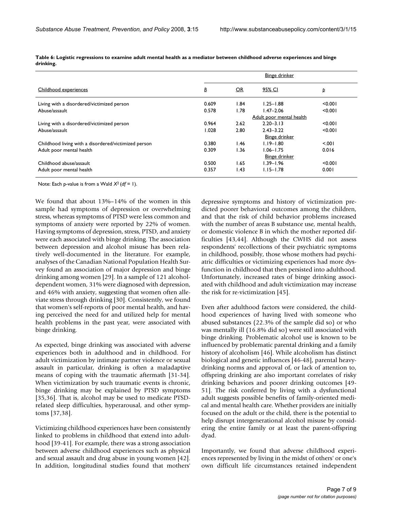|                                                      | <b>Binge drinker</b>     |      |               |         |
|------------------------------------------------------|--------------------------|------|---------------|---------|
| Childhood experiences                                | B                        | OR   | 95% CI        | Þ       |
| Living with a disordered/victimized person           | 0.609                    | l.84 | $1.25 - 1.88$ | < 0.001 |
| Abuse/assault                                        | 0.578                    | 1.78 | $1.47 - 2.06$ | < 0.001 |
|                                                      | Adult poor mental health |      |               |         |
| Living with a disordered/victimized person           | 0.964                    | 2.62 | $2.20 - 3.13$ | < 0.001 |
| Abuse/assault                                        | 1.028                    | 2.80 | $2.43 - 3.22$ | < 0.001 |
|                                                      | Binge drinker            |      |               |         |
| Childhood living with a disordered/victimized person | 0.380                    | 1.46 | $1.19 - 1.80$ | 5001    |
| Adult poor mental health                             | 0.309                    | 1.36 | $1.06 - 1.75$ | 0.016   |
|                                                      | Binge drinker            |      |               |         |
| Childhood abuse/assault                              | 0.500                    | 1.65 | $1.39 - 1.96$ | < 0.001 |
| Adult poor mental health                             | 0.357                    | 1.43 | $1.15 - 1.78$ | 0.001   |

**Table 6: Logistic regressions to examine adult mental health as a mediator between childhood adverse experiences and binge drinking.**

Note: Each p-value is from a Wald *X*2 (*df* = 1).

We found that about 13%–14% of the women in this sample had symptoms of depression or overwhelming stress, whereas symptoms of PTSD were less common and symptoms of anxiety were reported by 22% of women. Having symptoms of depression, stress, PTSD, and anxiety were each associated with binge drinking. The association between depression and alcohol misuse has been relatively well-documented in the literature. For example, analyses of the Canadian National Population Health Survey found an association of major depression and binge drinking among women [29]. In a sample of 121 alcoholdependent women, 31% were diagnosed with depression, and 46% with anxiety, suggesting that women often alleviate stress through drinking [30]. Consistently, we found that women's self-reports of poor mental health, and having perceived the need for and utilized help for mental health problems in the past year, were associated with binge drinking.

As expected, binge drinking was associated with adverse experiences both in adulthood and in childhood. For adult victimization by intimate partner violence or sexual assault in particular, drinking is often a maladaptive means of coping with the traumatic aftermath [31-34]. When victimization by such traumatic events is chronic, binge drinking may be explained by PTSD symptoms [35,36]. That is, alcohol may be used to medicate PTSDrelated sleep difficulties, hyperarousal, and other symptoms [37,38].

Victimizing childhood experiences have been consistently linked to problems in childhood that extend into adulthood [39-41]. For example, there was a strong association between adverse childhood experiences such as physical and sexual assault and drug abuse in young women [42]. In addition, longitudinal studies found that mothers'

depressive symptoms and history of victimization predicted poorer behavioral outcomes among the children, and that the risk of child behavior problems increased with the number of areas B substance use, mental health, or domestic violence B in which the mother reported difficulties [43,44]. Although the CWHS did not assess respondents' recollections of their psychiatric symptoms in childhood, possibly, those whose mothers had psychiatric difficulties or victimizing experiences had more dysfunction in childhood that then persisted into adulthood. Unfortunately, increased rates of binge drinking associated with childhood and adult victimization may increase the risk for re-victimization [45].

Even after adulthood factors were considered, the childhood experiences of having lived with someone who abused substances (22.3% of the sample did so) or who was mentally ill (16.8% did so) were still associated with binge drinking. Problematic alcohol use is known to be influenced by problematic parental drinking and a family history of alcoholism [46]. While alcoholism has distinct biological and genetic influences [46-48], parental heavydrinking norms and approval of, or lack of attention to, offspring drinking are also important correlates of risky drinking behaviors and poorer drinking outcomes [49- 51]. The risk conferred by living with a dysfunctional adult suggests possible benefits of family-oriented medical and mental health care. Whether providers are initially focused on the adult or the child, there is the potential to help disrupt intergenerational alcohol misuse by considering the entire family or at least the parent-offspring dyad.

Importantly, we found that adverse childhood experiences represented by living in the midst of others' or one's own difficult life circumstances retained independent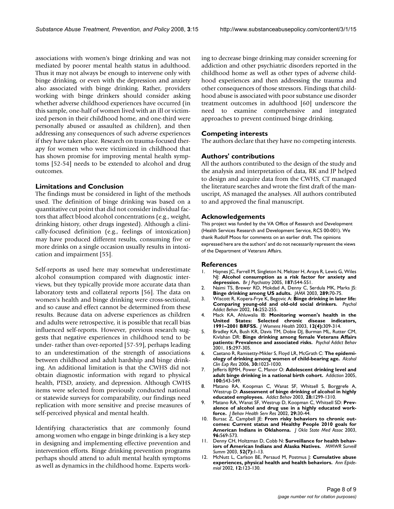associations with women's binge drinking and was not mediated by poorer mental health status in adulthood. Thus it may not always be enough to intervene only with binge drinking, or even with the depression and anxiety also associated with binge drinking. Rather, providers working with binge drinkers should consider asking whether adverse childhood experiences have occurred (in this sample, one-half of women lived with an ill or victimized person in their childhood home, and one-third were personally abused or assaulted as children), and then addressing any consequences of such adverse experiences if they have taken place. Research on trauma-focused therapy for women who were victimized in childhood that has shown promise for improving mental health symptoms [52-54] needs to be extended to alcohol and drug outcomes.

# **Limitations and Conclusion**

The findings must be considered in light of the methods used. The definition of binge drinking was based on a quantitative cut point that did not consider individual factors that affect blood alcohol concentrations (e.g., weight, drinking history, other drugs ingested). Although a clinically-focused definition (e.g., feelings of intoxication) may have produced different results, consuming five or more drinks on a single occasion usually results in intoxication and impairment [55].

Self-reports as used here may somewhat underestimate alcohol consumption compared with diagnostic interviews, but they typically provide more accurate data than laboratory tests and collateral reports [56]. The data on women's health and binge drinking were cross-sectional, and so cause and effect cannot be determined from these results. Because data on adverse experiences as children and adults were retrospective, it is possible that recall bias influenced self-reports. However, previous research suggests that negative experiences in childhood tend to be under- rather than over-reported [57-59], perhaps leading to an underestimation of the strength of associations between childhood and adult hardship and binge drinking. An additional limitation is that the CWHS did not obtain diagnostic information with regard to physical health, PTSD, anxiety, and depression. Although CWHS items were selected from previously conducted national or statewide surveys for comparability, our findings need replication with more sensitive and precise measures of self-perceived physical and mental health.

Identifying characteristics that are commonly found among women who engage in binge drinking is a key step in designing and implementing effective prevention and intervention efforts. Binge drinking prevention programs perhaps should attend to adult mental health symptoms as well as dynamics in the childhood home. Experts working to decrease binge drinking may consider screening for addiction and other psychiatric disorders reported in the childhood home as well as other types of adverse childhood experiences and then addressing the trauma and other consequences of those stressors. Findings that childhood abuse is associated with poor substance use disorder treatment outcomes in adulthood [60] underscore the need to examine comprehensive and integrated approaches to prevent continued binge drinking.

# **Competing interests**

The authors declare that they have no competing interests.

# **Authors' contributions**

All the authors contributed to the design of the study and the analysis and interpretation of data, RK and JP helped to design and acquire data from the CWHS, CT managed the literature searches and wrote the first draft of the manuscript, AS managed the analyses. All authors contributed to and approved the final manuscript.

#### **Acknowledgements**

This project was funded by the VA Office of Research and Development (Health Services Research and Development Service, RCS 00-001). We thank Rudolf Moos for comments on an earlier draft. The opinions expressed here are the authors' and do not necessarily represent the views of the Department of Veterans Affairs.

### **References**

- 1. Haynes JC, Farrell M, Singleton N, Meltzer H, Araya R, Lewis G, Wiles NJ: **[Alcohol consumption as a risk factor for anxiety and](http://www.ncbi.nlm.nih.gov/entrez/query.fcgi?cmd=Retrieve&db=PubMed&dopt=Abstract&list_uids=16319407) [depression.](http://www.ncbi.nlm.nih.gov/entrez/query.fcgi?cmd=Retrieve&db=PubMed&dopt=Abstract&list_uids=16319407)** *Br J Psychiatry* 2005, **187:**544-551.
- 2. Naimi TS, Brewer RD, Mokdad A, Denny C, Serdula MK, Marks JS: **[Binge drinking among US adults.](http://www.ncbi.nlm.nih.gov/entrez/query.fcgi?cmd=Retrieve&db=PubMed&dopt=Abstract&list_uids=12503979)** *JAMA* 2003, **289:**70-75.
- 3. Wiscott R, Kopera-Frye K, Begovic A: **[Binge drinking in later life:](http://www.ncbi.nlm.nih.gov/entrez/query.fcgi?cmd=Retrieve&db=PubMed&dopt=Abstract&list_uids=12236460) [Comparing young-old and old-old social drinkers.](http://www.ncbi.nlm.nih.gov/entrez/query.fcgi?cmd=Retrieve&db=PubMed&dopt=Abstract&list_uids=12236460)** *Psychol Addict Behav* 2002, **16:**252-255.
- 4. Mack KA, Ahluwalia IB: **Monitoring women's health in the United States: Selected chronic disease indicators, 1991–2001 BRFSS.** *J Womens Health* 2003, **12(4):**309-314.
- 5. Bradley KA, Bush KR, Davis TM, Dobie DJ, Burman ML, Rutter CM, Kivlahan DR: **[Binge drinking among female Veterans Affairs](http://www.ncbi.nlm.nih.gov/entrez/query.fcgi?cmd=Retrieve&db=PubMed&dopt=Abstract&list_uids=11767260) [patients: Prevalence and associated risks.](http://www.ncbi.nlm.nih.gov/entrez/query.fcgi?cmd=Retrieve&db=PubMed&dopt=Abstract&list_uids=11767260)** *Psychol Addict Behav* 2001, **15:**297-305.
- 6. Caetano R, Ramisetty-Mikler S, Floyd LR, McGrath C: **[The epidemi](http://www.ncbi.nlm.nih.gov/entrez/query.fcgi?cmd=Retrieve&db=PubMed&dopt=Abstract&list_uids=16737461)[ology of drinking among women of child-bearing age.](http://www.ncbi.nlm.nih.gov/entrez/query.fcgi?cmd=Retrieve&db=PubMed&dopt=Abstract&list_uids=16737461)** *Alcohol Clin Exp Res* 2006, **30:**1023-1030.
- 7. Jefferis BJMH, Power C, Manor O: **[Adolescent drinking level and](http://www.ncbi.nlm.nih.gov/entrez/query.fcgi?cmd=Retrieve&db=PubMed&dopt=Abstract&list_uids=15784069) [adult binge drinking in a national birth cohort.](http://www.ncbi.nlm.nih.gov/entrez/query.fcgi?cmd=Retrieve&db=PubMed&dopt=Abstract&list_uids=15784069)** *Addiction* 2005, **100:**543-549.
- 8. Matano RA, Koopman C, Wanat SF, Whitsell S, Borggrefe A, Westrup D: **[Assessment of binge drinking of alcohol in highly](http://www.ncbi.nlm.nih.gov/entrez/query.fcgi?cmd=Retrieve&db=PubMed&dopt=Abstract&list_uids=12915170) [educated employees.](http://www.ncbi.nlm.nih.gov/entrez/query.fcgi?cmd=Retrieve&db=PubMed&dopt=Abstract&list_uids=12915170)** *Addict Behav* 2003, **28:**1299-1310.
- 9. Matano RA, Wanat SF, Westrup D, Koopman C, Whitsell SD: **[Prev](http://www.ncbi.nlm.nih.gov/entrez/query.fcgi?cmd=Retrieve&db=PubMed&dopt=Abstract&list_uids=11840903)[alence of alcohol and drug use in a highly educated work](http://www.ncbi.nlm.nih.gov/entrez/query.fcgi?cmd=Retrieve&db=PubMed&dopt=Abstract&list_uids=11840903)[force.](http://www.ncbi.nlm.nih.gov/entrez/query.fcgi?cmd=Retrieve&db=PubMed&dopt=Abstract&list_uids=11840903)** *J Behav Health Serv Res* 2002, **29:**30-44.
- 10. Bursac Z, Campbell JE: **[From risky behaviors to chronic out](http://www.ncbi.nlm.nih.gov/entrez/query.fcgi?cmd=Retrieve&db=PubMed&dopt=Abstract&list_uids=14965026)[comes: Current status and Healthy People 2010 goals for](http://www.ncbi.nlm.nih.gov/entrez/query.fcgi?cmd=Retrieve&db=PubMed&dopt=Abstract&list_uids=14965026) [American Indians in Oklahoma.](http://www.ncbi.nlm.nih.gov/entrez/query.fcgi?cmd=Retrieve&db=PubMed&dopt=Abstract&list_uids=14965026)** *J Okla State Med Assoc* 2003, **96:**569-573.
- 11. Denny CH, Holtzman D, Cobb N: **[Surveillance for health behav](http://www.ncbi.nlm.nih.gov/entrez/query.fcgi?cmd=Retrieve&db=PubMed&dopt=Abstract&list_uids=14532869)[iors of American Indians and Alaska Natives.](http://www.ncbi.nlm.nih.gov/entrez/query.fcgi?cmd=Retrieve&db=PubMed&dopt=Abstract&list_uids=14532869)** *MMWR Surveill Summ* 2003, **52(7):**1-13.
- 12. McNutt L, Carlson BE, Persaud M, Postmus J: **[Cumulative abuse](http://www.ncbi.nlm.nih.gov/entrez/query.fcgi?cmd=Retrieve&db=PubMed&dopt=Abstract&list_uids=11880220) [experiences, physical health and health behaviors.](http://www.ncbi.nlm.nih.gov/entrez/query.fcgi?cmd=Retrieve&db=PubMed&dopt=Abstract&list_uids=11880220)** *Ann Epidemiol* 2002, **12:**123-130.